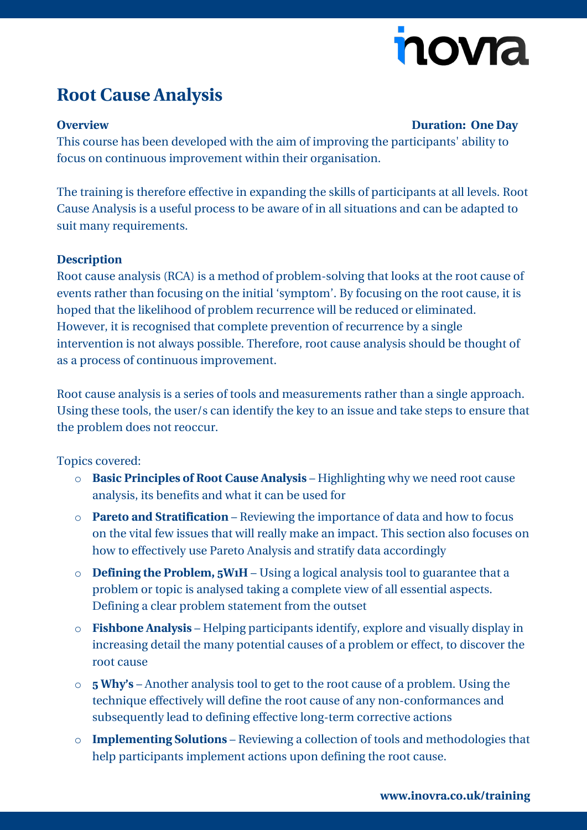# nova

## **Root Cause Analysis**

#### **Overview Duration: One Day**

This course has been developed with the aim of improving the participants' ability to focus on continuous improvement within their organisation.

The training is therefore effective in expanding the skills of participants at all levels. Root Cause Analysis is a useful process to be aware of in all situations and can be adapted to suit many requirements.

#### **Description**

Root cause analysis (RCA) is a method of problem-solving that looks at the root cause of events rather than focusing on the initial 'symptom'. By focusing on the root cause, it is hoped that the likelihood of problem recurrence will be reduced or eliminated. However, it is recognised that complete prevention of recurrence by a single intervention is not always possible. Therefore, root cause analysis should be thought of as a process of continuous improvement.

Root cause analysis is a series of tools and measurements rather than a single approach. Using these tools, the user/s can identify the key to an issue and take steps to ensure that the problem does not reoccur.

Topics covered:

- o **Basic Principles of Root Cause Analysis** Highlighting why we need root cause analysis, its benefits and what it can be used for
- o **Pareto and Stratification** Reviewing the importance of data and how to focus on the vital few issues that will really make an impact. This section also focuses on how to effectively use Pareto Analysis and stratify data accordingly
- o **Defining the Problem, 5W1H** Using a logical analysis tool to guarantee that a problem or topic is analysed taking a complete view of all essential aspects. Defining a clear problem statement from the outset
- o **Fishbone Analysis** Helping participants identify, explore and visually display in increasing detail the many potential causes of a problem or effect, to discover the root cause
- o **5 Why's** Another analysis tool to get to the root cause of a problem. Using the technique effectively will define the root cause of any non-conformances and subsequently lead to defining effective long-term corrective actions
- o **Implementing Solutions** Reviewing a collection of tools and methodologies that help participants implement actions upon defining the root cause.